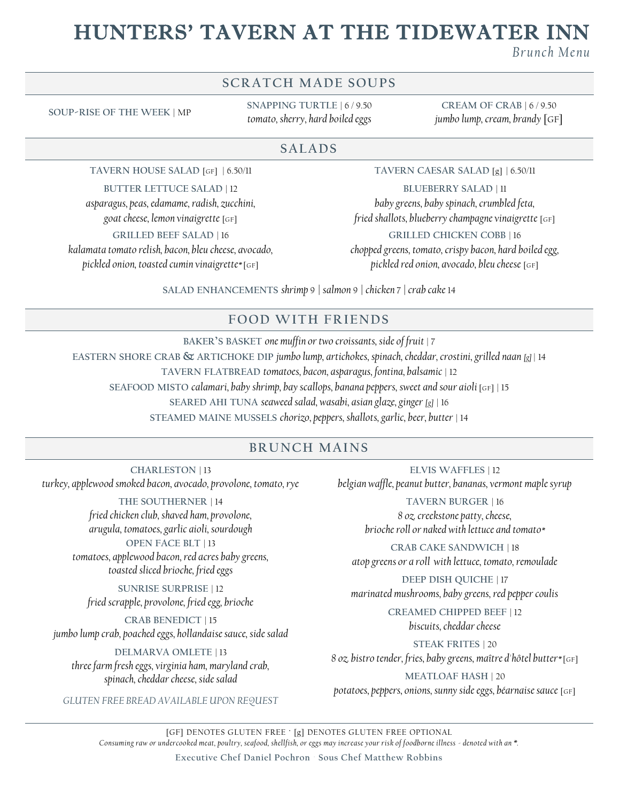# HUNTERS' TAVERN AT THE TIDEWATER IN

*B r u nc h M e nu*

## **SCRATCH MADE SOUPS**

**SOUP-RISE OF THE WEEK** | MP

**SNAPPING TURTLE** | 6 / 9.50 *tomato, sherry, hard boiled eggs*

**CREAM OF CRAB** | 6 / 9.50 *jumbo lump, cream, brandy* [GF]

#### **SALADS**

**TAVERN HOUSE SALAD** [GF] | 6.50/11

**BUTTER LETTUCE SALAD** | 12

*asparagus, peas, edamame, radish, zucchini, goat cheese, lemon vinaigrette* [GF] **GRILLED BEEF SALAD** | 16

*kalamata tomato relish, bacon, bleu cheese, avocado, pickled onion, toasted cumin vinaigrette\** [GF]

**TAVERN CAESAR SALAD** [g] | 6.50/11

**BLUEBERRY SALAD** | 11

*baby greens, baby spinach, crumbled feta, fried shallots, blueberry champagne vinaigrette* [GF]

**GRILLED CHICKEN COBB** | 16

*chopped greens, tomato, crispy bacon, hard boiled egg, pickled red onion, avocado, bleu cheese* [GF]

**SALAD ENHANCEMENTS** *shrimp* 9 *| salmon* 9 *| chicken* 7 *| crab cake* 14

### **F OOD WITH F R IENDS**

**BAKER'S BASKET** *one muffin or two croissants, side of fruit* | 7 **EASTERN SHORE CRAB & ARTICHOKE DIP** *jumbo lump, artichokes, spinach, cheddar, crostini, grilled naan [g]* | 14 **TAVERN FLATBREAD** *tomatoes, bacon, asparagus, fontina, balsamic* | 12 **SEAFOOD MISTO** *calamari, baby shrimp, bay scallops, banana peppers, sweet and sour aioli* [GF] | 15 **SEARED AHI TUNA** *seaweed salad, wasabi, asian glaze, ginger [g]* | 16 **STEAMED MAINE MUSSELS** *chorizo, peppers, shallots, garlic, beer, butter* | 14

### **BRUNCH MAINS**

**CHARLESTON** | 13 *turkey, applewood smoked bacon, avocado, provolone, tomato, rye*

> **THE SOUTHERNER** | 14 *fried chicken club, shaved ham, provolone, arugula, tomatoes, garlic aioli, sourdough* **OPEN FACE BLT** | 13 *tomatoes, applewood bacon, red acres baby greens, toasted sliced brioche, fried eggs*

**SUNRISE SURPRISE** | 12 *fried scrapple, provolone, fried egg, brioche*

**CRAB BENEDICT** | 15 *jumbo lump crab, poached eggs, hollandaise sauce, side salad*

**DELMARVA OMLETE** | 13 *three farm fresh eggs, virginia ham, maryland crab, spinach, cheddar cheese, side salad*

*GLUTEN FREE BREAD AVAILABLE UPON REQUEST*

**ELVIS WAFFLES** | 12 *belgian waffle, peanut butter, bananas, vermont maple syrup*

> **TAVERN BURGER** | 16 *8 oz. creekstone patty, cheese, brioche roll or naked with lettuce and tomato\**

**CRAB CAKE SANDWICH** | 18 *atop greens or a roll with lettuce, tomato, remoulade*

**DEEP DISH QUICHE** | 17 *marinated mushrooms, baby greens, red pepper coulis*

> **CREAMED CHIPPED BEEF** | 12 *biscuits, cheddar cheese*

**STEAK FRITES** | 20 *8 oz. bistro tender, fries, baby greens, maître d'hôtel butter\** [GF]

**MEATLOAF HASH** | 20

*potatoes, peppers, onions, sunny side eggs, béarnaise sauce* [GF]

[GF] DENOTES GLUTEN FREE ∙ [g] DENOTES GLUTEN FREE OPTIONAL *Consuming raw or undercooked meat, poultry, seafood, shellfish, or eggs may increase your risk of foodborne illness - denoted with an \*.*

**Executive Chef Daniel Pochron Sous Chef Matthew Robbins**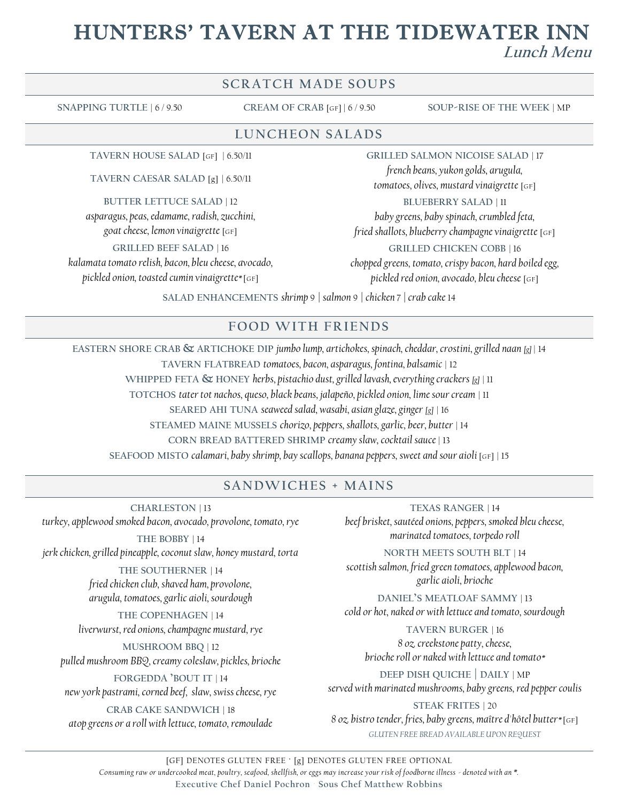# HUNTERS' TAVERN AT THE TIDEWATER INN **Lunch Menu**

#### **SCRATCH MADE SOUPS**

**SNAPPING TURTLE** | 6 / 9.50 **CREAM OF CRAB** [GF] | 6 / 9.50 **SOUP-RISE OF THE WEEK** | MP

#### **LU NCHEON SALADS**

**TAVERN HOUSE SALAD** [GF] | 6.50/11

**TAVERN CAESAR SALAD** [g] | 6.50/11

**BUTTER LETTUCE SALAD** | 12

*asparagus, peas, edamame, radish, zucchini,* 

*goat cheese, lemon vinaigrette* [GF]

**GRILLED BEEF SALAD** | 16

*kalamata tomato relish, bacon, bleu cheese, avocado, pickled onion, toasted cumin vinaigrette\** [GF]

**GRILLED SALMON NICOISE SALAD** | 17

*french beans, yukon golds, arugula, tomatoes, olives, mustard vinaigrette* [GF]

**BLUEBERRY SALAD** | 11

*baby greens, baby spinach, crumbled feta,* 

*fried shallots, blueberry champagne vinaigrette* [GF]

**GRILLED CHICKEN COBB** | 16

*chopped greens, tomato, crispy bacon, hard boiled egg, pickled red onion, avocado, bleu cheese* [GF]

**SALAD ENHANCEMENTS** *shrimp* 9 *| salmon* 9 *| chicken* 7 *| crab cake* 14

#### **F OOD WITH F R IENDS**

**EASTERN SHORE CRAB & ARTICHOKE DIP** *jumbo lump, artichokes, spinach, cheddar, crostini, grilled naan [g]* | 14 **TAVERN FLATBREAD** *tomatoes, bacon, asparagus, fontina, balsamic* | 12 **WHIPPED FETA & HONEY** *herbs, pistachio dust, grilled lavash, everything crackers [g]* | 11 **TOTCHOS** *tater tot nachos, queso, black beans, jalapeño, pickled onion, lime sour cream* | 11 **SEARED AHI TUNA** *seaweed salad, wasabi, asian glaze, ginger [g]* | 16 **STEAMED MAINE MUSSELS** *chorizo, peppers, shallots, garlic, beer, butter* | 14 **CORN BREAD BATTERED SHRIMP** *creamy slaw, cocktail sauce* | 13 **SEAFOOD MISTO** *calamari, baby shrimp, bay scallops, banana peppers, sweet and sour aioli* [GF] | 15

#### **SANDWICHES + MAINS**

**CHARLESTON** | 13 *turkey, applewood smoked bacon, avocado, provolone, tomato, rye*

**THE BOBBY** | 14 *jerk chicken, grilled pineapple, coconut slaw, honey mustard, torta*

> **THE SOUTHERNER** | 14 *fried chicken club, shaved ham, provolone, arugula, tomatoes, garlic aioli, sourdough*

**THE COPENHAGEN** | 14 *liverwurst, red onions, champagne mustard, rye*

**MUSHROOM BBQ** | 12 *pulled mushroom BBQ, creamy coleslaw, pickles, brioche*

**FORGEDDA 'BOUT IT** | 14 *new york pastrami, corned beef, slaw, swiss cheese, rye*

**CRAB CAKE SANDWICH** | 18 *atop greens or a roll with lettuce, tomato, remoulade*

**TEXAS RANGER** | 14 *beef brisket, sautéed onions, peppers, smoked bleu cheese, marinated tomatoes, torpedo roll*

**NORTH MEETS SOUTH BLT** | 14 *scottish salmon, fried green tomatoes, applewood bacon, garlic aioli, brioche*

**DANIEL'S MEATLOAF SAMMY** | 13 *cold or hot, naked or with lettuce and tomato, sourdough*

**TAVERN BURGER** | 16 *8 oz. creekstone patty, cheese, brioche roll or naked with lettuce and tomato\** 

**DEEP DISH QUICHE | DAILY** | MP *served with marinated mushrooms, baby greens, red pepper coulis*

**STEAK FRITES** | 20 *8 oz. bistro tender, fries, baby greens, maître d'hôtel butter\** [GF] *GLUTEN FREE BREAD AVAILABLE UPON REQUEST*

[GF] DENOTES GLUTEN FREE ∙ [g] DENOTES GLUTEN FREE OPTIONAL *Consuming raw or undercooked meat, poultry, seafood, shellfish, or eggs may increase your risk of foodborne illness - denoted with an \*.* **Executive Chef Daniel Pochron Sous Chef Matthew Robbins**